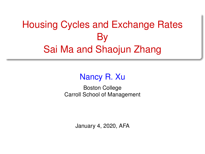# <span id="page-0-0"></span>Housing Cycles and Exchange Rates By Sai Ma and Shaojun Zhang

## Nancy R. Xu

Boston College Carroll School of Management

January 4, 2020, AFA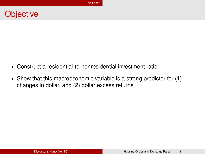## <span id="page-1-0"></span>**Objective**

- § Construct a residential-to-nonresidential investment ratio
- $\triangleright$  Show that this macroeconomic variable is a strong predictor for (1) changes in dollar, and (2) dollar excess returns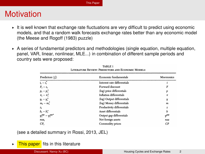## **Motivation**

- $\triangleright$  It is well known that exchange rate fluctuations are very difficult to predict using economic models, and that a random walk forecasts exchange rates better than any economic model (the Meese and Rogoff (1983) puzzle)
- $\triangleright$  A series of fundamental predictors and methodologies (single equation, multiple equation, panel, VAR, linear, nonlinear, MLE...) in combination of different sample periods and country sets were proposed:

| Predictors $(f_i)$          | Economic fundamentals       | <b>Mnemonics</b> |  |
|-----------------------------|-----------------------------|------------------|--|
| $i_t - i_t^*$               | Interest rate differentials |                  |  |
| $F_t - s_t$                 | Forward discount            |                  |  |
| $p_t - p_t^*$               | (log) price differentials   | p                |  |
| $\pi_t - \pi_t^*$           | Inflation differentials     | π                |  |
| $y_t - y_t^*$               | (log) Output differentials  | y                |  |
| $m_i - m_i^*$               | (log) Money differentials   | $\boldsymbol{m}$ |  |
| $z_{\scriptscriptstyle{t}}$ | Productivity differentials  | z                |  |
| $b_t - b_t^*$               | Asset differentials         | h                |  |
| $y_i^{gap} - y_i^{gap}$     | Output gap differentials    | $y^{\rm gap}$    |  |
| nxa,                        | Net foreign assets          | nxa              |  |
| CP.                         | Commodity prices            | CP               |  |

| TABLE 1                                           |  |  |  |  |  |  |  |
|---------------------------------------------------|--|--|--|--|--|--|--|
| LITERATURE REVIEW: PREDICTORS AND ECONOMIC MODELS |  |  |  |  |  |  |  |

(see a detailed summary in Rossi, 2013, JEL)

### • This paper fits in this literature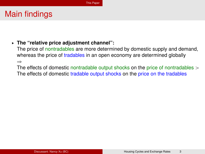### § **The "relative price adjustment channel":**

The price of nontradables are more determined by domestic supply and demand, whereas the price of tradables in an open economy are determined globally  $\Rightarrow$ 

The effects of domestic nontradable output shocks on the price of nontradables  $>$ The effects of domestic tradable output shocks on the price on the tradables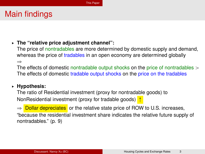### § **The "relative price adjustment channel":**

The price of nontradables are more determined by domestic supply and demand, whereas the price of tradables in an open economy are determined globally  $\Rightarrow$ 

The effects of domestic nontradable output shocks on the price of nontradables  $>$ The effects of domestic tradable output shocks on the price on the tradables

### § **Hypothesis:**

The ratio of Residential investment (proxy for nontradable goods) to NonResidential investment (proxy for tradable goods)  $\uparrow$ 

 $\Rightarrow$  Dollar depreciates or the relative state price of ROW to U.S. increases, "because the residential investment share indicates the relative future supply of nontradables." (p. 9)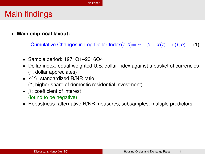§ **Main empirical layout:**

Cumulative Changes in Log Dollar Index $(t, h) = \alpha + \beta \times x(t) + \varepsilon(t, h)$  (1)

- ' Sample period: 1971Q1–2016Q4
- ' Dollar index: equal-weighted U.S. dollar index against a basket of currencies  $($  $\uparrow$ , dollar appreciates)
- $\bullet$  *x*(*t*): standardized R/NR ratio  $(\uparrow, \text{higher share of domestic residual investment})$
- $\bullet$   $\beta$ : coefficient of interest (found to be negative)
- Robustness: alternative R/NR measures, subsamples, multiple predictors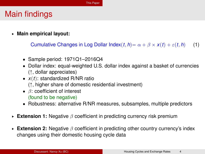§ **Main empirical layout:**

Cumulative Changes in Log Dollar Index $(t, h) = \alpha + \beta \times x(t) + \varepsilon(t, h)$  (1)

- ' Sample period: 1971Q1–2016Q4
- ' Dollar index: equal-weighted U.S. dollar index against a basket of currencies  $($  $\uparrow$ , dollar appreciates)
- $\bullet$  *x*(*t*): standardized R/NR ratio  $(\uparrow, \text{higher share of domestic residual investment})$
- $\bullet$   $\beta$ : coefficient of interest (found to be negative)
- Robustness: alternative R/NR measures, subsamples, multiple predictors
- § **Extension 1:** Negative β coefficient in predicting currency risk premium
- § **Extension 2:** Negative β coefficient in predicting other country currency's index changes using their domestic housing cycle data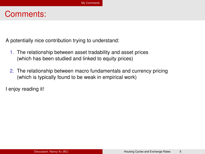## <span id="page-7-0"></span>Comments:

A potentially nice contribution trying to understand:

- 1. The relationship between asset tradability and asset prices (which has been studied and linked to equity prices)
- 2. The relationship between macro fundamentals and currency pricing (which is typically found to be weak in empirical work)

I enjoy reading it!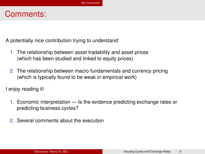## Comments:

A potentially nice contribution trying to understand:

- 1. The relationship between asset tradability and asset prices (which has been studied and linked to equity prices)
- 2. The relationship between macro fundamentals and currency pricing (which is typically found to be weak in empirical work)

I enjoy reading it!

- 1. Economic interpretation Is the evidence predicting exchange rates or predicting business cycles?
- 2. Several comments about the execution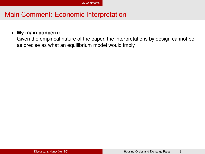#### § **My main concern:**

Given the empirical nature of the paper, the interpretations by design cannot be as precise as what an equilibrium model would imply.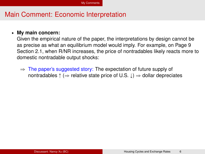#### § **My main concern:**

Given the empirical nature of the paper, the interpretations by design cannot be as precise as what an equilibrium model would imply. For example, on Page 9 Section 2.1, when R/NR increases, the price of nontradables likely reacts more to domestic nontradable output shocks:

 $\Rightarrow$  The paper's suggested story: The expectation of future supply of nontradables  $\uparrow$  ( $\Rightarrow$  relative state price of U.S.  $\downarrow$ )  $\Rightarrow$  dollar depreciates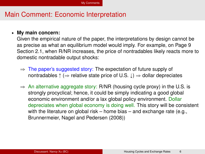#### § **My main concern:**

Given the empirical nature of the paper, the interpretations by design cannot be as precise as what an equilibrium model would imply. For example, on Page 9 Section 2.1, when R/NR increases, the price of nontradables likely reacts more to domestic nontradable output shocks:

- $\Rightarrow$  The paper's suggested story: The expectation of future supply of nontradables  $\uparrow$  ( $\Rightarrow$  relative state price of U.S.  $\downarrow$ )  $\Rightarrow$  dollar depreciates
- $\Rightarrow$  An alternative aggregate story: R/NR (housing cycle proxy) in the U.S. is strongly procyclical; hence, it could be simply indicating a good global economic environment and/or a lax global policy environment. Dollar depreciates when global economy is doing well. This story will be consistent with the literature on global risk – home bias – and exchange rate (e.g., Brunnermeier, Nagel and Pedersen (2008))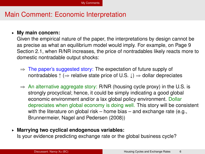#### § **My main concern:**

Given the empirical nature of the paper, the interpretations by design cannot be as precise as what an equilibrium model would imply. For example, on Page 9 Section 2.1, when R/NR increases, the price of nontradables likely reacts more to domestic nontradable output shocks:

- $\Rightarrow$  The paper's suggested story: The expectation of future supply of nontradables  $\uparrow$  ( $\Rightarrow$  relative state price of U.S.  $\downarrow$ )  $\Rightarrow$  dollar depreciates
- $\Rightarrow$  An alternative aggregate story: R/NR (housing cycle proxy) in the U.S. is strongly procyclical; hence, it could be simply indicating a good global economic environment and/or a lax global policy environment. Dollar depreciates when global economy is doing well. This story will be consistent with the literature on global risk – home bias – and exchange rate (e.g., Brunnermeier, Nagel and Pedersen (2008))
- § **Marrying two cyclical endogenous variables:** Is your evidence predicting exchange rate or the global business cycle?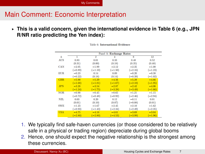§ **This is a valid concern, given the international evidence in Table 6 (e.g., JPN R/NR ratio predicting the Yen index):**

|                  | Panel A: Exchange Rates |                |           |           |           |  |  |
|------------------|-------------------------|----------------|-----------|-----------|-----------|--|--|
| $\boldsymbol{h}$ |                         | $\overline{2}$ | 4         | 8         | $12 \,$   |  |  |
| <b>AUS</b>       | 0.83                    | 0.01           | 0.33      | 0.48      | 0.52      |  |  |
|                  | (0.31)                  | (0.00)         | (0.18)    | (0.35)    | (0.48)    |  |  |
| CAN              | $-2.05$                 | $-1.99$        | $-2.12$   | $-2.35$   | $-1.08$   |  |  |
|                  | $(-0.89)$               | $(-1.10)$      | $(-1.50)$ | $(-2.16)$ | $(-1.23)$ |  |  |
| <b>EUR</b>       | $-0.23$                 | 0.14           | 0.09      | $-0.20$   | $-0.38$   |  |  |
|                  | $(-0.22)$               | (0.18)         | (0.14)    | $(-0.39)$ | $(-1.02)$ |  |  |
| <b>GBR</b>       | $-5.90$                 | $-5.29$        | $-4.56$   | $-5.29$   | $-4.66$   |  |  |
|                  | $(-1.68)$               | $(-1.81)$      | $(-1.67)$ | $(-2.10)$ | $(-1.95)$ |  |  |
| <b>JPN</b>       | $-3.28$                 | $-3.54$        | $-2.87$   | $-2.42$   | $-4.06$   |  |  |
|                  | $(-1.24)$               | $(-1.75)$      | $(-3.28)$ | $(-3.49)$ | $(-1.66)$ |  |  |
| <b>NOR</b>       | $-0.90$                 | $-0.45$        | $-0.65$   | $-1.21$   | $-1.15$   |  |  |
|                  | $(-0.72)$               | $(-0.48)$      | $(-0.92)$ | $(-2.46)$ | $(-2.94)$ |  |  |
| <b>NZL</b>       | 0.03                    | 0.20           | 0.12      | $-0.11$   | 0.01      |  |  |
|                  | (0.01)                  | (0.10)         | (0.07)    | $(-0.08)$ | (0.01)    |  |  |
| <b>SWE</b>       | $-1.23$                 | $-1.67$        | $-2.45$   | $-2.10$   | $-1.62$   |  |  |
|                  | $(-0.93)$               | $(-1.43)$      | $(-2.34)$ | $(-2.49)$ | $(-2.35)$ |  |  |
| <b>USA</b>       | $-4.75$                 | $-4.18$        | $-4.61$   | $-3.69$   | $-3.04$   |  |  |
|                  | $-2.80$                 | $(-2.80)$      | $(-4.53)$ | $(-3.99)$ | $(-1.96)$ |  |  |

Table 6: International Evidence

- 1. We typically find safe-haven currencies (or those considered to be relatively safe in a physical or trading region) depreciate during global booms
- 2. Hence, one should expect the negative relationship is the strongest among these currencies.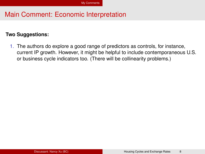#### **Two Suggestions:**

1. The authors do explore a good range of predictors as controls, for instance, current IP growth. However, it might be helpful to include contemporaneous U.S. or business cycle indicators too. (There will be collinearity problems.)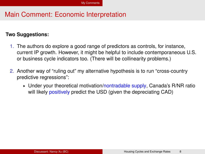#### **Two Suggestions:**

- 1. The authors do explore a good range of predictors as controls, for instance, current IP growth. However, it might be helpful to include contemporaneous U.S. or business cycle indicators too. (There will be collinearity problems.)
- 2. Another way of "ruling out" my alternative hypothesis is to run "cross-country predictive regressions":
	- $\triangleright$  Under your theoretical motivation/nontradable supply, Canada's R/NR ratio will likely positively predict the USD (given the depreciating CAD)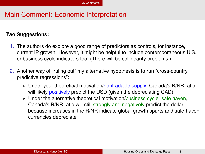#### **Two Suggestions:**

- 1. The authors do explore a good range of predictors as controls, for instance, current IP growth. However, it might be helpful to include contemporaneous U.S. or business cycle indicators too. (There will be collinearity problems.)
- 2. Another way of "ruling out" my alternative hypothesis is to run "cross-country predictive regressions":
	- ► Under your theoretical motivation/nontradable supply, Canada's R/NR ratio will likely positively predict the USD (given the depreciating CAD)
	- Under the alternative theoretical motivation/business cycle+safe haven, Canada's R/NR ratio will still strongly and negatively predict the dollar because increases in the R/NR indicate global growth spurts and safe-haven currencies depreciate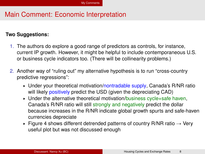#### **Two Suggestions:**

- 1. The authors do explore a good range of predictors as controls, for instance, current IP growth. However, it might be helpful to include contemporaneous U.S. or business cycle indicators too. (There will be collinearity problems.)
- 2. Another way of "ruling out" my alternative hypothesis is to run "cross-country predictive regressions":
	- ► Under your theoretical motivation/nontradable supply, Canada's R/NR ratio will likely positively predict the USD (given the depreciating CAD)
	- Under the alternative theoretical motivation/business cycle+safe haven, Canada's R/NR ratio will still strongly and negatively predict the dollar because increases in the R/NR indicate global growth spurts and safe-haven currencies depreciate
	- Figure 4 shows different detrended patterns of country R/NR ratio  $\rightarrow$  Very useful plot but was not discussed enough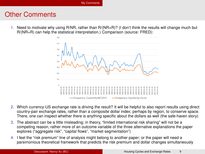### Other Comments

1. Need to motivate why using R/NR, rather than R/(NR+R)? (I don't think the results will change much but R/(NR+R) can help the statistical interpretation.) Comparison (source: FRED):



- 2. Which currency-US exchange rate is driving the result? It will be helpful to also report results using direct country-pair exchange rates, rather than a composite dollar index; perhaps by region, to conserve space. There, one can inspect whether there is anything specific about the dollars as well (the safe-haven story)
- 3. The abstract can be a little misleading; in theory, "limited international risk sharing" will not be a competing reason, rather more of an outcome variable of the three alternative explanations the paper explores ("aggregate risk", "capital flows", "market segmentation")
- 4. I feel the "risk premium" line of analysis might belong to another paper; or the paper will need a parsimonious theoretical framework that predicts the risk premium and dollar changes simultaneously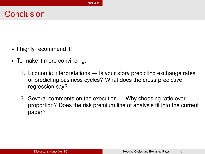## <span id="page-19-0"></span>**Conclusion**

- § I highly recommend it!
- § To make it more convincing:
	- 1. Economic interpretations Is your story predicting exchange rates, or predicting business cycles? What does the cross-predictive regression say?
	- 2. Several comments on the execution Why choosing ratio over proportion? Does the risk premium line of analysis fit into the current paper?